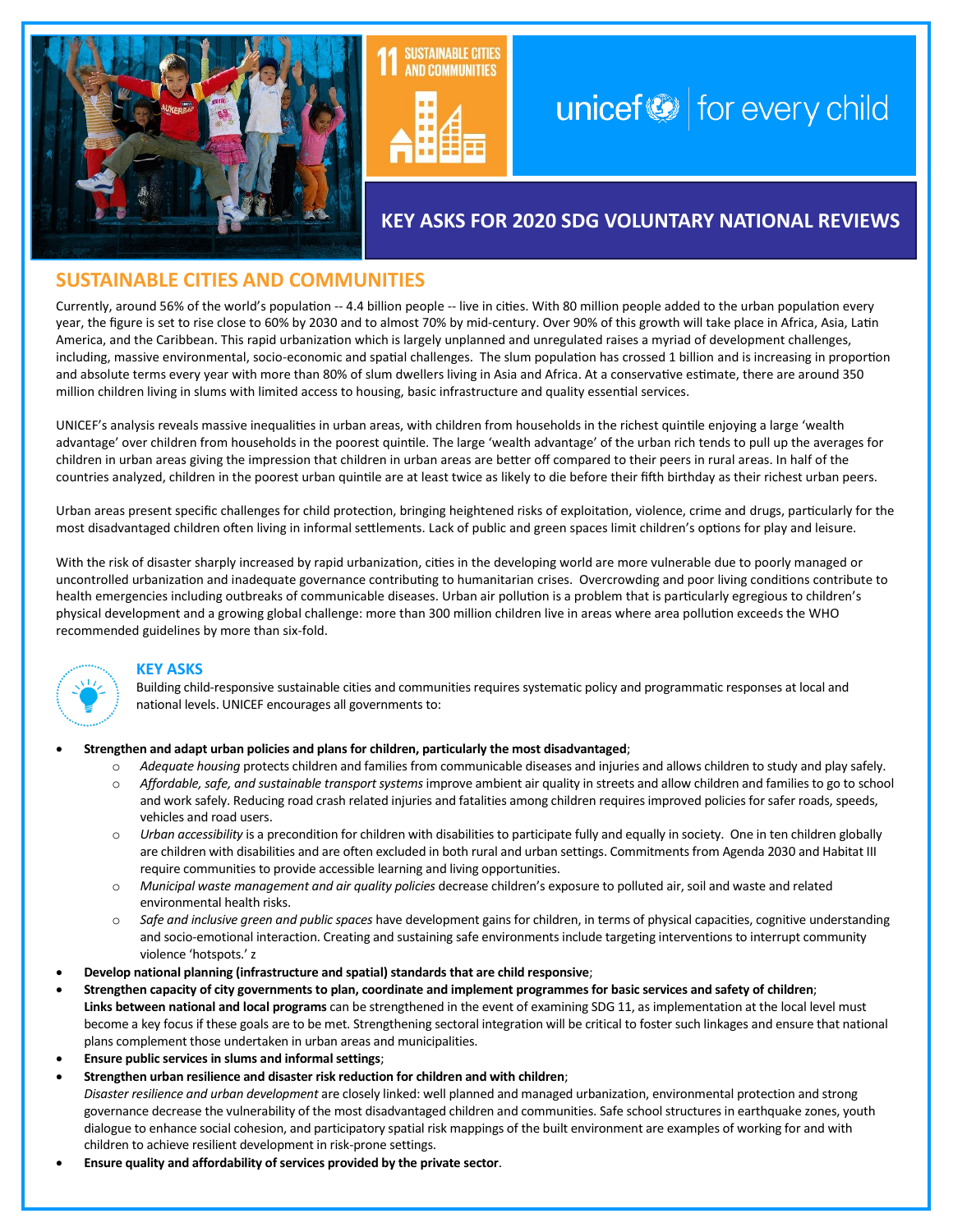



# unicef $\bigcirc$  for every child

# **KEY ASKS FOR 2020 SDG VOLUNTARY NATIONAL REVIEWS**

# **SUSTAINABLE CITIES AND COMMUNITIES**

Currently, around 56% of the world's population -- 4.4 billion people -- live in cities. With 80 million people added to the urban population every year, the figure is set to rise close to 60% by 2030 and to almost 70% by mid-century. Over 90% of this growth will take place in Africa, Asia, Latin America, and the Caribbean. This rapid urbanization which is largely unplanned and unregulated raises a myriad of development challenges, including, massive environmental, socio-economic and spatial challenges. The slum population has crossed 1 billion and is increasing in proportion and absolute terms every year with more than 80% of slum dwellers living in Asia and Africa. At a conservative estimate, there are around 350 million children living in slums with limited access to housing, basic infrastructure and quality essential services.

UNICEF's analysis reveals massive inequalities in urban areas, with children from households in the richest quintile enjoying a large 'wealth advantage' over children from households in the poorest quintile. The large 'wealth advantage' of the urban rich tends to pull up the averages for children in urban areas giving the impression that children in urban areas are better off compared to their peers in rural areas. In half of the countries analyzed, children in the poorest urban quintile are at least twice as likely to die before their fifth birthday as their richest urban peers.

Urban areas present specific challenges for child protection, bringing heightened risks of exploitation, violence, crime and drugs, particularly for the most disadvantaged children often living in informal settlements. Lack of public and green spaces limit children's options for play and leisure.

With the risk of disaster sharply increased by rapid urbanization, cities in the developing world are more vulnerable due to poorly managed or uncontrolled urbanization and inadequate governance contributing to humanitarian crises. Overcrowding and poor living conditions contribute to health emergencies including outbreaks of communicable diseases. Urban air pollution is a problem that is particularly egregious to children's physical development and a growing global challenge: more than 300 million children live in areas where area pollution exceeds the WHO recommended guidelines by more than six-fold.



#### **KEY ASKS**

Building child-responsive sustainable cities and communities requires systematic policy and programmatic responses at local and national levels. UNICEF encourages all governments to:

#### • **Strengthen and adapt urban policies and plans for children, particularly the most disadvantaged**;

- o *Adequate housing* protects children and families from communicable diseases and injuries and allows children to study and play safely.
- o *Affordable, safe, and sustainable transport systems* improve ambient air quality in streets and allow children and families to go to school and work safely. Reducing road crash related injuries and fatalities among children requires improved policies for safer roads, speeds, vehicles and road users.
- o *Urban accessibility* is a precondition for children with disabilities to participate fully and equally in society. One in ten children globally are children with disabilities and are often excluded in both rural and urban settings. Commitments from Agenda 2030 and Habitat III require communities to provide accessible learning and living opportunities.
- o *Municipal waste management and air quality policies* decrease children's exposure to polluted air, soil and waste and related environmental health risks.
- o *Safe and inclusive green and public spaces* have development gains for children, in terms of physical capacities, cognitive understanding and socio-emotional interaction. Creating and sustaining safe environments include targeting interventions to interrupt community violence 'hotspots.' z
- **Develop national planning (infrastructure and spatial) standards that are child responsive**;
- **Strengthen capacity of city governments to plan, coordinate and implement programmes for basic services and safety of children**; **Links between national and local programs** can be strengthened in the event of examining SDG 11, as implementation at the local level must become a key focus if these goals are to be met. Strengthening sectoral integration will be critical to foster such linkages and ensure that national plans complement those undertaken in urban areas and municipalities.
- **Ensure public services in slums and informal settings**;
- **Strengthen urban resilience and disaster risk reduction for children and with children**; *Disaster resilience and urban development* are closely linked: well planned and managed urbanization, environmental protection and strong governance decrease the vulnerability of the most disadvantaged children and communities. Safe school structures in earthquake zones, youth dialogue to enhance social cohesion, and participatory spatial risk mappings of the built environment are examples of working for and with children to achieve resilient development in risk-prone settings.
- **Ensure quality and affordability of services provided by the private sector**.